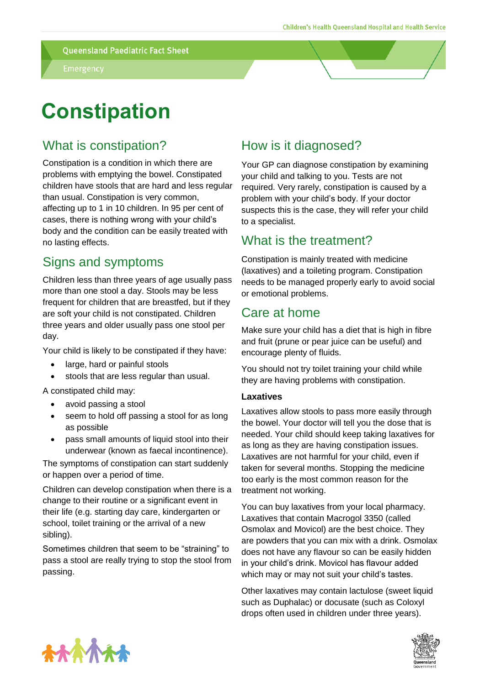# **Constipation**

## What is constipation?

Constipation is a condition in which there are problems with emptying the bowel. Constipated children have stools that are hard and less regular than usual. Constipation is very common, affecting up to 1 in 10 children. In 95 per cent of cases, there is nothing wrong with your child's body and the condition can be easily treated with no lasting effects.

# Signs and symptoms

Children less than three years of age usually pass more than one stool a day. Stools may be less frequent for children that are breastfed, but if they are soft your child is not constipated. Children three years and older usually pass one stool per day.

Your child is likely to be constipated if they have:

- large, hard or painful stools
- stools that are less regular than usual.

A constipated child may:

- avoid passing a stool
- seem to hold off passing a stool for as long as possible
- pass small amounts of liquid stool into their underwear (known as faecal incontinence).

The symptoms of constipation can start suddenly or happen over a period of time.

Children can develop constipation when there is a change to their routine or a significant event in their life (e.g. starting day care, kindergarten or school, toilet training or the arrival of a new sibling).

Sometimes children that seem to be "straining" to pass a stool are really trying to stop the stool from passing.

# How is it diagnosed?

Your GP can diagnose constipation by examining your child and talking to you. Tests are not required. Very rarely, constipation is caused by a problem with your child's body. If your doctor suspects this is the case, they will refer your child to a specialist.

## What is the treatment?

Constipation is mainly treated with medicine (laxatives) and a toileting program. Constipation needs to be managed properly early to avoid social or emotional problems.

## Care at home

Make sure your child has a diet that is high in fibre and fruit (prune or pear juice can be useful) and encourage plenty of fluids.

You should not try toilet training your child while they are having problems with constipation.

#### **Laxatives**

Laxatives allow stools to pass more easily through the bowel. Your doctor will tell you the dose that is needed. Your child should keep taking laxatives for as long as they are having constipation issues. Laxatives are not harmful for your child, even if taken for several months. Stopping the medicine too early is the most common reason for the treatment not working.

You can buy laxatives from your local pharmacy. Laxatives that contain Macrogol 3350 (called Osmolax and Movicol) are the best choice. They are powders that you can mix with a drink. Osmolax does not have any flavour so can be easily hidden in your child's drink. Movicol has flavour added which may or may not suit your child's tastes.

Other laxatives may contain lactulose (sweet liquid such as Duphalac) or docusate (such as Coloxyl drops often used in children under three years).